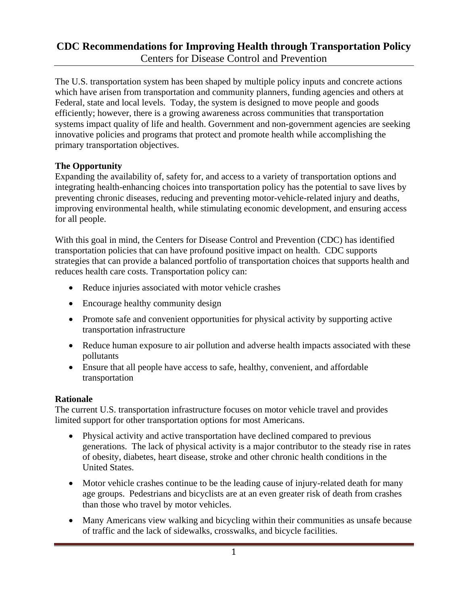The U.S. transportation system has been shaped by multiple policy inputs and concrete actions which have arisen from transportation and community planners, funding agencies and others at Federal, state and local levels. Today, the system is designed to move people and goods efficiently; however, there is a growing awareness across communities that transportation systems impact quality of life and health. Government and non-government agencies are seeking innovative policies and programs that protect and promote health while accomplishing the primary transportation objectives.

### **The Opportunity**

Expanding the availability of, safety for, and access to a variety of transportation options and integrating health-enhancing choices into transportation policy has the potential to save lives by preventing chronic diseases, reducing and preventing motor-vehicle-related injury and deaths, improving environmental health, while stimulating economic development, and ensuring access for all people.

With this goal in mind, the Centers for Disease Control and Prevention (CDC) has identified transportation policies that can have profound positive impact on health. CDC supports strategies that can provide a balanced portfolio of transportation choices that supports health and reduces health care costs. Transportation policy can:

- Reduce injuries associated with motor vehicle crashes
- Encourage healthy community design
- Promote safe and convenient opportunities for physical activity by supporting active transportation infrastructure
- Reduce human exposure to air pollution and adverse health impacts associated with these pollutants
- Ensure that all people have access to safe, healthy, convenient, and affordable transportation

#### **Rationale**

The current U.S. transportation infrastructure focuses on motor vehicle travel and provides limited support for other transportation options for most Americans.

- Physical activity and active transportation have declined compared to previous generations. The lack of physical activity is a major contributor to the steady rise in rates of obesity, diabetes, heart disease, stroke and other chronic health conditions in the United States.
- Motor vehicle crashes continue to be the leading cause of injury-related death for many age groups. Pedestrians and bicyclists are at an even greater risk of death from crashes than those who travel by motor vehicles.
- Many Americans view walking and bicycling within their communities as unsafe because of traffic and the lack of sidewalks, crosswalks, and bicycle facilities.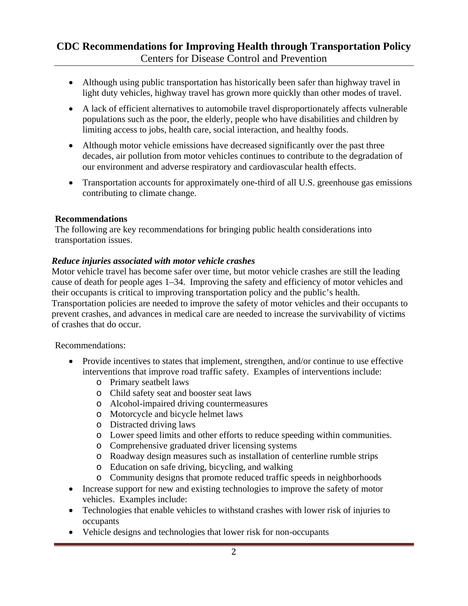- Although using public transportation has historically been safer than highway travel in light duty vehicles, highway travel has grown more quickly than other modes of travel.
- A lack of efficient alternatives to automobile travel disproportionately affects vulnerable populations such as the poor, the elderly, people who have disabilities and children by limiting access to jobs, health care, social interaction, and healthy foods.
- Although motor vehicle emissions have decreased significantly over the past three decades, air pollution from motor vehicles continues to contribute to the degradation of our environment and adverse respiratory and cardiovascular health effects.
- Transportation accounts for approximately one-third of all U.S. greenhouse gas emissions contributing to climate change.

### **Recommendations**

The following are key recommendations for bringing public health considerations into transportation issues.

### *Reduce injuries associated with motor vehicle crashes*

Motor vehicle travel has become safer over time, but motor vehicle crashes are still the leading cause of death for people ages 1–34. Improving the safety and efficiency of motor vehicles and their occupants is critical to improving transportation policy and the public's health. Transportation policies are needed to improve the safety of motor vehicles and their occupants to prevent crashes, and advances in medical care are needed to increase the survivability of victims of crashes that do occur.

- Provide incentives to states that implement, strengthen, and/or continue to use effective interventions that improve road traffic safety. Examples of interventions include:
	- o Primary seatbelt laws
	- o Child safety seat and booster seat laws
	- o Alcohol-impaired driving countermeasures
	- o Motorcycle and bicycle helmet laws
	- o Distracted driving laws
	- o Lower speed limits and other efforts to reduce speeding within communities.
	- o Comprehensive graduated driver licensing systems
	- o Roadway design measures such as installation of centerline rumble strips
	- o Education on safe driving, bicycling, and walking
	- o Community designs that promote reduced traffic speeds in neighborhoods
- Increase support for new and existing technologies to improve the safety of motor vehicles. Examples include:
- Technologies that enable vehicles to withstand crashes with lower risk of injuries to occupants
- Vehicle designs and technologies that lower risk for non-occupants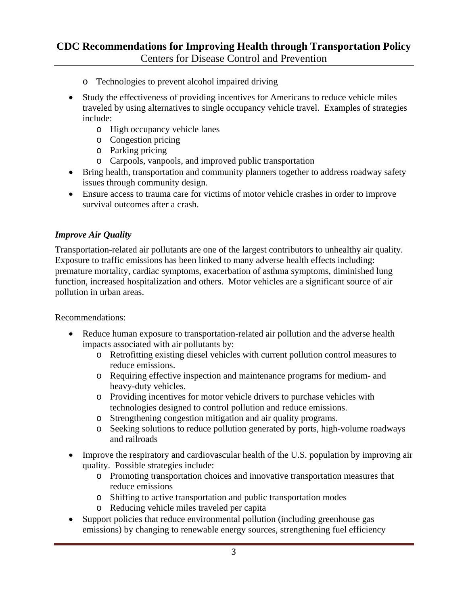- o Technologies to prevent alcohol impaired driving
- Study the effectiveness of providing incentives for Americans to reduce vehicle miles traveled by using alternatives to single occupancy vehicle travel. Examples of strategies include:
	- o High occupancy vehicle lanes
	- o Congestion pricing
	- o Parking pricing
	- o Carpools, vanpools, and improved public transportation
- Bring health, transportation and community planners together to address roadway safety issues through community design.
- Ensure access to trauma care for victims of motor vehicle crashes in order to improve survival outcomes after a crash.

### *Improve Air Quality*

Transportation-related air pollutants are one of the largest contributors to unhealthy air quality. Exposure to traffic emissions has been linked to many adverse health effects including: premature mortality, cardiac symptoms, exacerbation of asthma symptoms, diminished lung function, increased hospitalization and others. Motor vehicles are a significant source of air pollution in urban areas.

- Reduce human exposure to transportation-related air pollution and the adverse health impacts associated with air pollutants by:
	- o Retrofitting existing diesel vehicles with current pollution control measures to reduce emissions.
	- o Requiring effective inspection and maintenance programs for medium- and heavy-duty vehicles.
	- o Providing incentives for motor vehicle drivers to purchase vehicles with technologies designed to control pollution and reduce emissions.
	- o Strengthening congestion mitigation and air quality programs.
	- o Seeking solutions to reduce pollution generated by ports, high-volume roadways and railroads
- Improve the respiratory and cardiovascular health of the U.S. population by improving air quality.Possible strategies include:
	- o Promoting transportation choices and innovative transportation measures that reduce emissions
	- o Shifting to active transportation and public transportation modes
	- o Reducing vehicle miles traveled per capita
- Support policies that reduce environmental pollution (including greenhouse gas emissions) by changing to renewable energy sources, strengthening fuel efficiency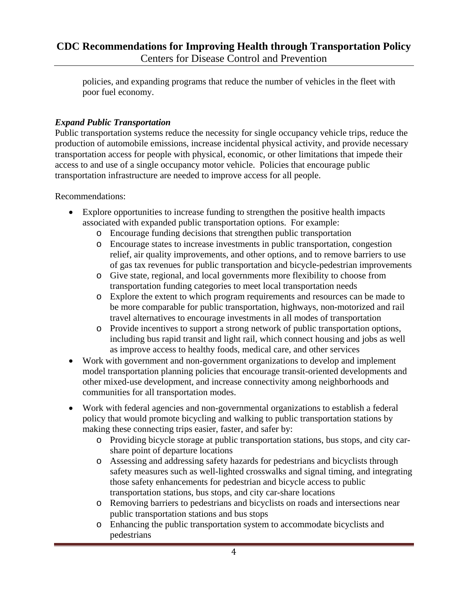policies, and expanding programs that reduce the number of vehicles in the fleet with poor fuel economy.

## *Expand Public Transportation*

Public transportation systems reduce the necessity for single occupancy vehicle trips, reduce the production of automobile emissions, increase incidental physical activity, and provide necessary transportation access for people with physical, economic, or other limitations that impede their access to and use of a single occupancy motor vehicle. Policies that encourage public transportation infrastructure are needed to improve access for all people.

- Explore opportunities to increase funding to strengthen the positive health impacts associated with expanded public transportation options. For example:
	- o Encourage funding decisions that strengthen public transportation
	- o Encourage states to increase investments in public transportation, congestion relief, air quality improvements, and other options, and to remove barriers to use of gas tax revenues for public transportation and bicycle-pedestrian improvements
	- o Give state, regional, and local governments more flexibility to choose from transportation funding categories to meet local transportation needs
	- o Explore the extent to which program requirements and resources can be made to be more comparable for public transportation, highways, non-motorized and rail travel alternatives to encourage investments in all modes of transportation
	- o Provide incentives to support a strong network of public transportation options, including bus rapid transit and light rail, which connect housing and jobs as well as improve access to healthy foods, medical care, and other services
- Work with government and non-government organizations to develop and implement model transportation planning policies that encourage transit-oriented developments and other mixed-use development, and increase connectivity among neighborhoods and communities for all transportation modes.
- Work with federal agencies and non-governmental organizations to establish a federal policy that would promote bicycling and walking to public transportation stations by making these connecting trips easier, faster, and safer by:
	- o Providing bicycle storage at public transportation stations, bus stops, and city carshare point of departure locations
	- o Assessing and addressing safety hazards for pedestrians and bicyclists through safety measures such as well-lighted crosswalks and signal timing, and integrating those safety enhancements for pedestrian and bicycle access to public transportation stations, bus stops, and city car-share locations
	- o Removing barriers to pedestrians and bicyclists on roads and intersections near public transportation stations and bus stops
	- o Enhancing the public transportation system to accommodate bicyclists and pedestrians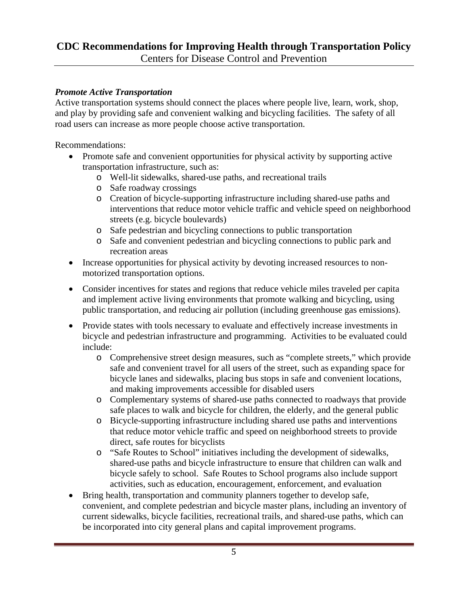### *Promote Active Transportation*

Active transportation systems should connect the places where people live, learn, work, shop, and play by providing safe and convenient walking and bicycling facilities. The safety of all road users can increase as more people choose active transportation.

- Promote safe and convenient opportunities for physical activity by supporting active transportation infrastructure, such as:
	- o Well-lit sidewalks, shared-use paths, and recreational trails
	- o Safe roadway crossings
	- o Creation of bicycle-supporting infrastructure including shared-use paths and interventions that reduce motor vehicle traffic and vehicle speed on neighborhood streets (e.g. bicycle boulevards)
	- o Safe pedestrian and bicycling connections to public transportation
	- o Safe and convenient pedestrian and bicycling connections to public park and recreation areas
- Increase opportunities for physical activity by devoting increased resources to nonmotorized transportation options.
- Consider incentives for states and regions that reduce vehicle miles traveled per capita and implement active living environments that promote walking and bicycling, using public transportation, and reducing air pollution (including greenhouse gas emissions).
- Provide states with tools necessary to evaluate and effectively increase investments in bicycle and pedestrian infrastructure and programming. Activities to be evaluated could include:
	- o Comprehensive street design measures, such as "complete streets," which provide safe and convenient travel for all users of the street, such as expanding space for bicycle lanes and sidewalks, placing bus stops in safe and convenient locations, and making improvements accessible for disabled users
	- o Complementary systems of shared-use paths connected to roadways that provide safe places to walk and bicycle for children, the elderly, and the general public
	- o Bicycle-supporting infrastructure including shared use paths and interventions that reduce motor vehicle traffic and speed on neighborhood streets to provide direct, safe routes for bicyclists
	- o "Safe Routes to School" initiatives including the development of sidewalks, shared-use paths and bicycle infrastructure to ensure that children can walk and bicycle safely to school. Safe Routes to School programs also include support activities, such as education, encouragement, enforcement, and evaluation
- Bring health, transportation and community planners together to develop safe, convenient, and complete pedestrian and bicycle master plans, including an inventory of current sidewalks, bicycle facilities, recreational trails, and shared-use paths, which can be incorporated into city general plans and capital improvement programs.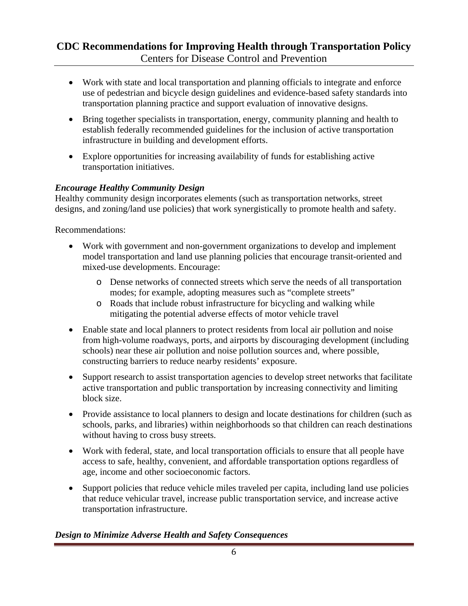- Work with state and local transportation and planning officials to integrate and enforce use of pedestrian and bicycle design guidelines and evidence-based safety standards into transportation planning practice and support evaluation of innovative designs.
- Bring together specialists in transportation, energy, community planning and health to establish federally recommended guidelines for the inclusion of active transportation infrastructure in building and development efforts.
- Explore opportunities for increasing availability of funds for establishing active transportation initiatives.

## *Encourage Healthy Community Design*

Healthy community design incorporates elements (such as transportation networks, street designs, and zoning/land use policies) that work synergistically to promote health and safety.

Recommendations:

- Work with government and non-government organizations to develop and implement model transportation and land use planning policies that encourage transit-oriented and mixed-use developments. Encourage:
	- o Dense networks of connected streets which serve the needs of all transportation modes; for example, adopting measures such as "complete streets"
	- o Roads that include robust infrastructure for bicycling and walking while mitigating the potential adverse effects of motor vehicle travel
- Enable state and local planners to protect residents from local air pollution and noise from high-volume roadways, ports, and airports by discouraging development (including schools) near these air pollution and noise pollution sources and, where possible, constructing barriers to reduce nearby residents' exposure.
- Support research to assist transportation agencies to develop street networks that facilitate active transportation and public transportation by increasing connectivity and limiting block size.
- Provide assistance to local planners to design and locate destinations for children (such as schools, parks, and libraries) within neighborhoods so that children can reach destinations without having to cross busy streets.
- Work with federal, state, and local transportation officials to ensure that all people have access to safe, healthy, convenient, and affordable transportation options regardless of age, income and other socioeconomic factors.
- Support policies that reduce vehicle miles traveled per capita, including land use policies that reduce vehicular travel, increase public transportation service, and increase active transportation infrastructure.

## *Design to Minimize Adverse Health and Safety Consequences*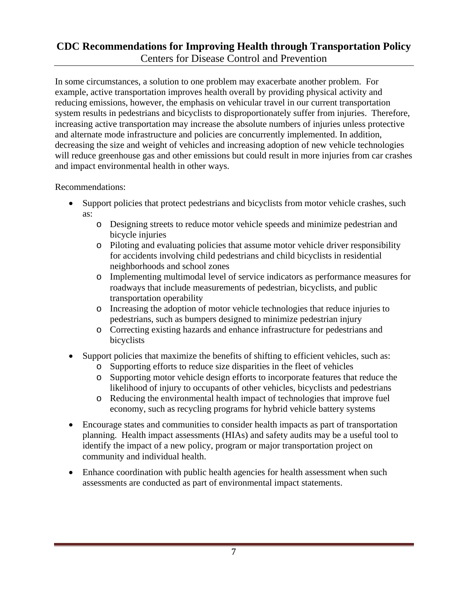In some circumstances, a solution to one problem may exacerbate another problem. For example, active transportation improves health overall by providing physical activity and reducing emissions, however, the emphasis on vehicular travel in our current transportation system results in pedestrians and bicyclists to disproportionately suffer from injuries. Therefore, increasing active transportation may increase the absolute numbers of injuries unless protective and alternate mode infrastructure and policies are concurrently implemented. In addition, decreasing the size and weight of vehicles and increasing adoption of new vehicle technologies will reduce greenhouse gas and other emissions but could result in more injuries from car crashes and impact environmental health in other ways.

- Support policies that protect pedestrians and bicyclists from motor vehicle crashes, such as:
	- o Designing streets to reduce motor vehicle speeds and minimize pedestrian and bicycle injuries
	- o Piloting and evaluating policies that assume motor vehicle driver responsibility for accidents involving child pedestrians and child bicyclists in residential neighborhoods and school zones
	- o Implementing multimodal level of service indicators as performance measures for roadways that include measurements of pedestrian, bicyclists, and public transportation operability
	- o Increasing the adoption of motor vehicle technologies that reduce injuries to pedestrians, such as bumpers designed to minimize pedestrian injury
	- o Correcting existing hazards and enhance infrastructure for pedestrians and bicyclists
- Support policies that maximize the benefits of shifting to efficient vehicles, such as:
	- o Supporting efforts to reduce size disparities in the fleet of vehicles
	- o Supporting motor vehicle design efforts to incorporate features that reduce the likelihood of injury to occupants of other vehicles, bicyclists and pedestrians
	- o Reducing the environmental health impact of technologies that improve fuel economy, such as recycling programs for hybrid vehicle battery systems
- Encourage states and communities to consider health impacts as part of transportation planning. Health impact assessments (HIAs) and safety audits may be a useful tool to identify the impact of a new policy, program or major transportation project on community and individual health.
- Enhance coordination with public health agencies for health assessment when such assessments are conducted as part of environmental impact statements.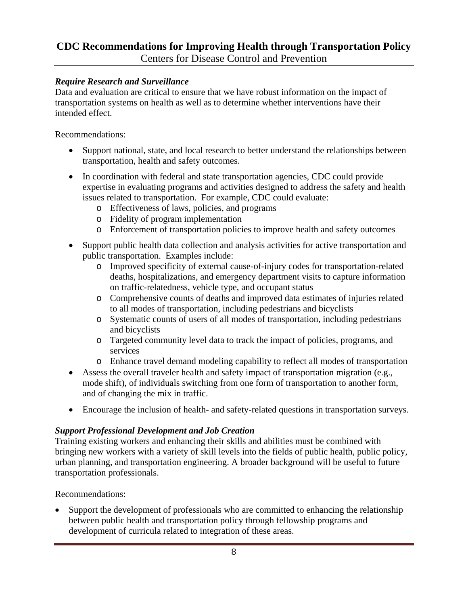### *Require Research and Surveillance*

Data and evaluation are critical to ensure that we have robust information on the impact of transportation systems on health as well as to determine whether interventions have their intended effect.

Recommendations:

- Support national, state, and local research to better understand the relationships between transportation, health and safety outcomes.
- In coordination with federal and state transportation agencies, CDC could provide expertise in evaluating programs and activities designed to address the safety and health issues related to transportation. For example, CDC could evaluate:
	- o Effectiveness of laws, policies, and programs
	- o Fidelity of program implementation
	- o Enforcement of transportation policies to improve health and safety outcomes
- Support public health data collection and analysis activities for active transportation and public transportation. Examples include:
	- o Improved specificity of external cause-of-injury codes for transportation-related deaths, hospitalizations, and emergency department visits to capture information on traffic-relatedness, vehicle type, and occupant status
	- o Comprehensive counts of deaths and improved data estimates of injuries related to all modes of transportation, including pedestrians and bicyclists
	- o Systematic counts of users of all modes of transportation, including pedestrians and bicyclists
	- o Targeted community level data to track the impact of policies, programs, and services
	- o Enhance travel demand modeling capability to reflect all modes of transportation
- Assess the overall traveler health and safety impact of transportation migration (e.g., mode shift), of individuals switching from one form of transportation to another form, and of changing the mix in traffic.
- Encourage the inclusion of health- and safety-related questions in transportation surveys.

## *Support Professional Development and Job Creation*

Training existing workers and enhancing their skills and abilities must be combined with bringing new workers with a variety of skill levels into the fields of public health, public policy, urban planning, and transportation engineering. A broader background will be useful to future transportation professionals.

Recommendations:

• Support the development of professionals who are committed to enhancing the relationship between public health and transportation policy through fellowship programs and development of curricula related to integration of these areas.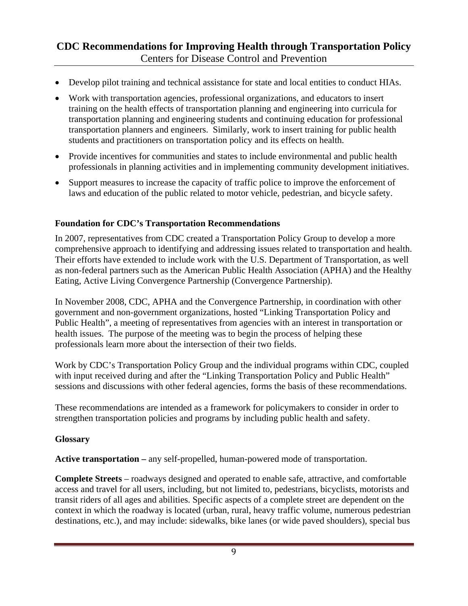- Develop pilot training and technical assistance for state and local entities to conduct HIAs.
- Work with transportation agencies, professional organizations, and educators to insert training on the health effects of transportation planning and engineering into curricula for transportation planning and engineering students and continuing education for professional transportation planners and engineers. Similarly, work to insert training for public health students and practitioners on transportation policy and its effects on health.
- Provide incentives for communities and states to include environmental and public health professionals in planning activities and in implementing community development initiatives.
- Support measures to increase the capacity of traffic police to improve the enforcement of laws and education of the public related to motor vehicle, pedestrian, and bicycle safety.

### **Foundation for CDC's Transportation Recommendations**

In 2007, representatives from CDC created a Transportation Policy Group to develop a more comprehensive approach to identifying and addressing issues related to transportation and health. Their efforts have extended to include work with the U.S. Department of Transportation, as well as non-federal partners such as the American Public Health Association (APHA) and the Healthy Eating, Active Living Convergence Partnership (Convergence Partnership).

In November 2008, CDC, APHA and the Convergence Partnership, in coordination with other government and non-government organizations, hosted "Linking Transportation Policy and Public Health", a meeting of representatives from agencies with an interest in transportation or health issues. The purpose of the meeting was to begin the process of helping these professionals learn more about the intersection of their two fields.

Work by CDC's Transportation Policy Group and the individual programs within CDC, coupled with input received during and after the "Linking Transportation Policy and Public Health" sessions and discussions with other federal agencies, forms the basis of these recommendations.

These recommendations are intended as a framework for policymakers to consider in order to strengthen transportation policies and programs by including public health and safety.

### **Glossary**

**Active transportation –** any self-propelled, human-powered mode of transportation.

**Complete Streets** – roadways designed and operated to enable safe, attractive, and comfortable access and travel for all users, including, but not limited to, pedestrians, bicyclists, motorists and transit riders of all ages and abilities. Specific aspects of a complete street are dependent on the context in which the roadway is located (urban, rural, heavy traffic volume, numerous pedestrian destinations, etc.), and may include: sidewalks, bike lanes (or wide paved shoulders), special bus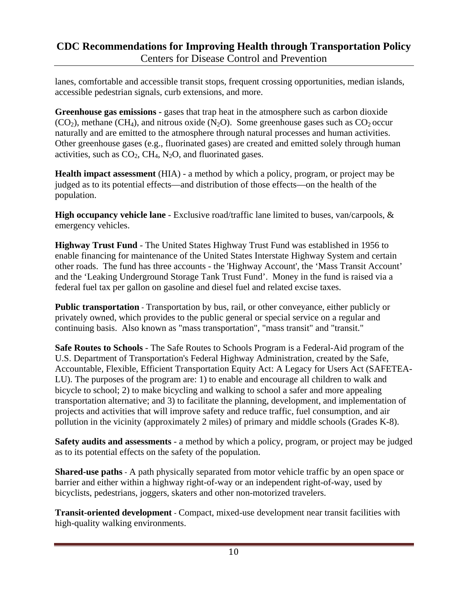lanes, comfortable and accessible transit stops, frequent crossing opportunities, median islands, accessible pedestrian signals, curb extensions, and more.

Greenhouse gas emissions - gases that trap heat in the atmosphere such as carbon dioxide  $(CO<sub>2</sub>)$ , methane  $(CH<sub>4</sub>)$ , and nitrous oxide  $(N<sub>2</sub>O)$ . Some greenhouse gases such as  $CO<sub>2</sub>$  occur naturally and are emitted to the atmosphere through natural processes and human activities. Other greenhouse gases (e.g., fluorinated gases) are created and emitted solely through human activities, such as  $CO<sub>2</sub>$ ,  $CH<sub>4</sub>$ , N<sub>2</sub>O, and fluorinated gases.

**Health impact assessment** (HIA) - a method by which a policy, program, or project may be judged as to its potential effects—and distribution of those effects—on the health of the population.

**High occupancy vehicle lane** - Exclusive road/traffic lane limited to buses, van/carpools, & emergency vehicles.

**Highway Trust Fund** - The United States Highway Trust Fund was established in 1956 to enable financing for maintenance of the United States Interstate Highway System and certain other roads. The fund has three accounts - the 'Highway Account', the 'Mass Transit Account' and the 'Leaking Underground Storage Tank Trust Fund'. Money in the fund is raised via a federal fuel tax per gallon on gasoline and diesel fuel and related excise taxes.

**Public transportation** - Transportation by bus, rail, or other conveyance, either publicly or privately owned, which provides to the public general or special service on a regular and continuing basis. Also known as "mass transportation", "mass transit" and "transit."

**Safe Routes to Schools** - The Safe Routes to Schools Program is a Federal-Aid program of the U.S. Department of Transportation's Federal Highway Administration, created by the Safe, Accountable, Flexible, Efficient Transportation Equity Act: A Legacy for Users Act (SAFETEA-LU). The purposes of the program are: 1) to enable and encourage all children to walk and bicycle to school; 2) to make bicycling and walking to school a safer and more appealing transportation alternative; and 3) to facilitate the planning, development, and implementation of projects and activities that will improve safety and reduce traffic, fuel consumption, and air pollution in the vicinity (approximately 2 miles) of primary and middle schools (Grades K-8).

**Safety audits and assessments** - a method by which a policy, program, or project may be judged as to its potential effects on the safety of the population.

**Shared-use paths** - A path physically separated from motor vehicle traffic by an open space or barrier and either within a highway right-of-way or an independent right-of-way, used by bicyclists, pedestrians, joggers, skaters and other non-motorized travelers.

**Transit-oriented development** - Compact, mixed-use development near transit facilities with high-quality walking environments.